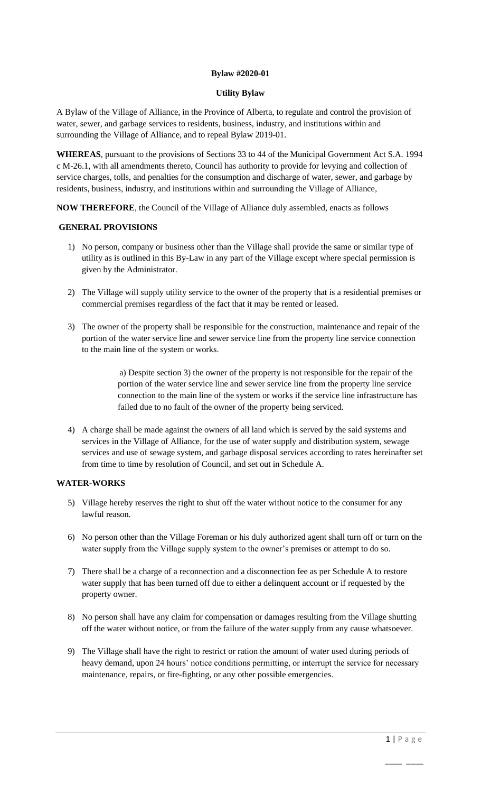# **Bylaw #2020-01**

### **Utility Bylaw**

A Bylaw of the Village of Alliance, in the Province of Alberta, to regulate and control the provision of water, sewer, and garbage services to residents, business, industry, and institutions within and surrounding the Village of Alliance, and to repeal Bylaw 2019-01.

**WHEREAS**, pursuant to the provisions of Sections 33 to 44 of the Municipal Government Act S.A. 1994 c M-26.1, with all amendments thereto, Council has authority to provide for levying and collection of service charges, tolls, and penalties for the consumption and discharge of water, sewer, and garbage by residents, business, industry, and institutions within and surrounding the Village of Alliance,

**NOW THEREFORE**, the Council of the Village of Alliance duly assembled, enacts as follows

## **GENERAL PROVISIONS**

- 1) No person, company or business other than the Village shall provide the same or similar type of utility as is outlined in this By-Law in any part of the Village except where special permission is given by the Administrator.
- 2) The Village will supply utility service to the owner of the property that is a residential premises or commercial premises regardless of the fact that it may be rented or leased.
- 3) The owner of the property shall be responsible for the construction, maintenance and repair of the portion of the water service line and sewer service line from the property line service connection to the main line of the system or works.

 a) Despite section 3) the owner of the property is not responsible for the repair of the portion of the water service line and sewer service line from the property line service connection to the main line of the system or works if the service line infrastructure has failed due to no fault of the owner of the property being serviced.

4) A charge shall be made against the owners of all land which is served by the said systems and services in the Village of Alliance, for the use of water supply and distribution system, sewage services and use of sewage system, and garbage disposal services according to rates hereinafter set from time to time by resolution of Council, and set out in Schedule A.

## **WATER-WORKS**

- 5) Village hereby reserves the right to shut off the water without notice to the consumer for any lawful reason.
- 6) No person other than the Village Foreman or his duly authorized agent shall turn off or turn on the water supply from the Village supply system to the owner's premises or attempt to do so.
- 7) There shall be a charge of a reconnection and a disconnection fee as per Schedule A to restore water supply that has been turned off due to either a delinquent account or if requested by the property owner.
- 8) No person shall have any claim for compensation or damages resulting from the Village shutting off the water without notice, or from the failure of the water supply from any cause whatsoever.
- 9) The Village shall have the right to restrict or ration the amount of water used during periods of heavy demand, upon 24 hours' notice conditions permitting, or interrupt the service for necessary maintenance, repairs, or fire-fighting, or any other possible emergencies.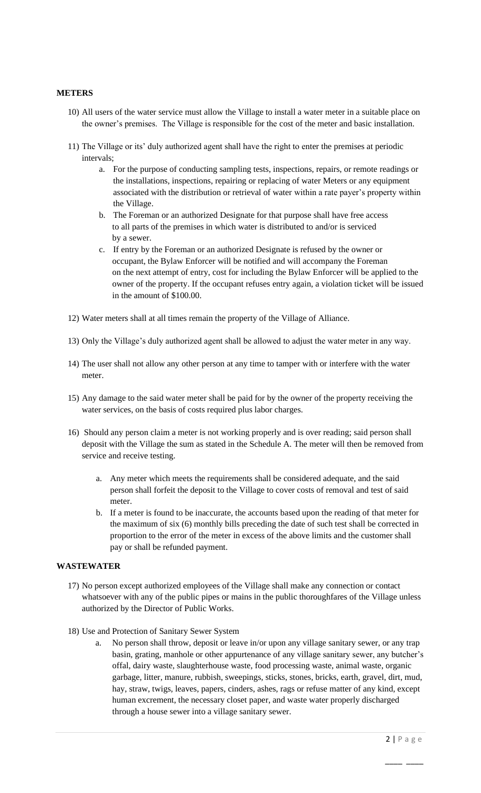#### **METERS**

- 10) All users of the water service must allow the Village to install a water meter in a suitable place on the owner's premises. The Village is responsible for the cost of the meter and basic installation.
- 11) The Village or its' duly authorized agent shall have the right to enter the premises at periodic intervals;
	- a. For the purpose of conducting sampling tests, inspections, repairs, or remote readings or the installations, inspections, repairing or replacing of water Meters or any equipment associated with the distribution or retrieval of water within a rate payer's property within the Village.
	- b. The Foreman or an authorized Designate for that purpose shall have free access to all parts of the premises in which water is distributed to and/or is serviced by a sewer.
	- c. If entry by the Foreman or an authorized Designate is refused by the owner or occupant, the Bylaw Enforcer will be notified and will accompany the Foreman on the next attempt of entry, cost for including the Bylaw Enforcer will be applied to the owner of the property. If the occupant refuses entry again, a violation ticket will be issued in the amount of \$100.00.
- 12) Water meters shall at all times remain the property of the Village of Alliance.
- 13) Only the Village's duly authorized agent shall be allowed to adjust the water meter in any way.
- 14) The user shall not allow any other person at any time to tamper with or interfere with the water meter.
- 15) Any damage to the said water meter shall be paid for by the owner of the property receiving the water services, on the basis of costs required plus labor charges.
- 16) Should any person claim a meter is not working properly and is over reading; said person shall deposit with the Village the sum as stated in the Schedule A. The meter will then be removed from service and receive testing.
	- a. Any meter which meets the requirements shall be considered adequate, and the said person shall forfeit the deposit to the Village to cover costs of removal and test of said meter.
	- b. If a meter is found to be inaccurate, the accounts based upon the reading of that meter for the maximum of six (6) monthly bills preceding the date of such test shall be corrected in proportion to the error of the meter in excess of the above limits and the customer shall pay or shall be refunded payment.

#### **WASTEWATER**

- 17) No person except authorized employees of the Village shall make any connection or contact whatsoever with any of the public pipes or mains in the public thoroughfares of the Village unless authorized by the Director of Public Works.
- 18) Use and Protection of Sanitary Sewer System
	- a. No person shall throw, deposit or leave in/or upon any village sanitary sewer, or any trap basin, grating, manhole or other appurtenance of any village sanitary sewer, any butcher's offal, dairy waste, slaughterhouse waste, food processing waste, animal waste, organic garbage, litter, manure, rubbish, sweepings, sticks, stones, bricks, earth, gravel, dirt, mud, hay, straw, twigs, leaves, papers, cinders, ashes, rags or refuse matter of any kind, except human excrement, the necessary closet paper, and waste water properly discharged through a house sewer into a village sanitary sewer.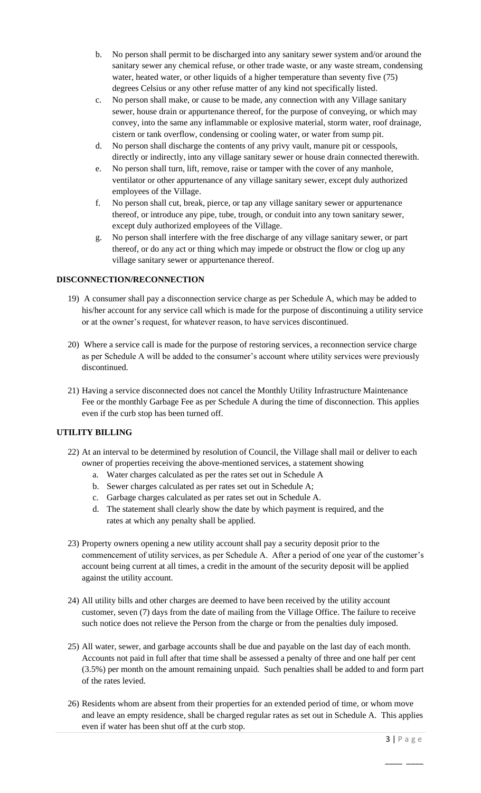- b. No person shall permit to be discharged into any sanitary sewer system and/or around the sanitary sewer any chemical refuse, or other trade waste, or any waste stream, condensing water, heated water, or other liquids of a higher temperature than seventy five (75) degrees Celsius or any other refuse matter of any kind not specifically listed.
- c. No person shall make, or cause to be made, any connection with any Village sanitary sewer, house drain or appurtenance thereof, for the purpose of conveying, or which may convey, into the same any inflammable or explosive material, storm water, roof drainage, cistern or tank overflow, condensing or cooling water, or water from sump pit.
- d. No person shall discharge the contents of any privy vault, manure pit or cesspools, directly or indirectly, into any village sanitary sewer or house drain connected therewith.
- e. No person shall turn, lift, remove, raise or tamper with the cover of any manhole, ventilator or other appurtenance of any village sanitary sewer, except duly authorized employees of the Village.
- f. No person shall cut, break, pierce, or tap any village sanitary sewer or appurtenance thereof, or introduce any pipe, tube, trough, or conduit into any town sanitary sewer, except duly authorized employees of the Village.
- g. No person shall interfere with the free discharge of any village sanitary sewer, or part thereof, or do any act or thing which may impede or obstruct the flow or clog up any village sanitary sewer or appurtenance thereof.

## **DISCONNECTION/RECONNECTION**

- 19) A consumer shall pay a disconnection service charge as per Schedule A, which may be added to his/her account for any service call which is made for the purpose of discontinuing a utility service or at the owner's request, for whatever reason, to have services discontinued.
- 20) Where a service call is made for the purpose of restoring services, a reconnection service charge as per Schedule A will be added to the consumer's account where utility services were previously discontinued.
- 21) Having a service disconnected does not cancel the Monthly Utility Infrastructure Maintenance Fee or the monthly Garbage Fee as per Schedule A during the time of disconnection. This applies even if the curb stop has been turned off.

# **UTILITY BILLING**

- 22) At an interval to be determined by resolution of Council, the Village shall mail or deliver to each owner of properties receiving the above-mentioned services, a statement showing
	- a. Water charges calculated as per the rates set out in Schedule A
	- b. Sewer charges calculated as per rates set out in Schedule A;
	- c. Garbage charges calculated as per rates set out in Schedule A.
	- d. The statement shall clearly show the date by which payment is required, and the rates at which any penalty shall be applied.
- 23) Property owners opening a new utility account shall pay a security deposit prior to the commencement of utility services, as per Schedule A. After a period of one year of the customer's account being current at all times, a credit in the amount of the security deposit will be applied against the utility account.
- 24) All utility bills and other charges are deemed to have been received by the utility account customer, seven (7) days from the date of mailing from the Village Office. The failure to receive such notice does not relieve the Person from the charge or from the penalties duly imposed.
- 25) All water, sewer, and garbage accounts shall be due and payable on the last day of each month. Accounts not paid in full after that time shall be assessed a penalty of three and one half per cent (3.5%) per month on the amount remaining unpaid. Such penalties shall be added to and form part of the rates levied.
- 26) Residents whom are absent from their properties for an extended period of time, or whom move and leave an empty residence, shall be charged regular rates as set out in Schedule A. This applies even if water has been shut off at the curb stop.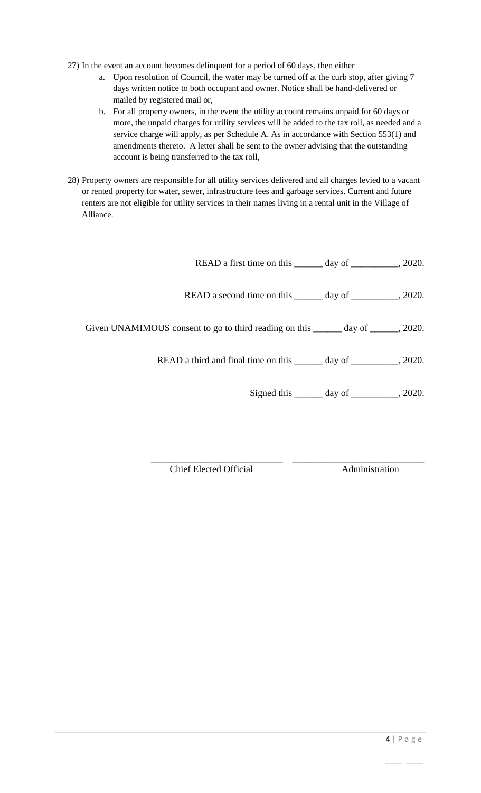- 27) In the event an account becomes delinquent for a period of 60 days, then either
	- a. Upon resolution of Council, the water may be turned off at the curb stop, after giving 7 days written notice to both occupant and owner. Notice shall be hand-delivered or mailed by registered mail or,
	- b. For all property owners, in the event the utility account remains unpaid for 60 days or more, the unpaid charges for utility services will be added to the tax roll, as needed and a service charge will apply, as per Schedule A. As in accordance with Section 553(1) and amendments thereto. A letter shall be sent to the owner advising that the outstanding account is being transferred to the tax roll,
- 28) Property owners are responsible for all utility services delivered and all charges levied to a vacant or rented property for water, sewer, infrastructure fees and garbage services. Current and future renters are not eligible for utility services in their names living in a rental unit in the Village of Alliance.

| READ a first time on this ________ day of ____________, 2020.                       |                                                    |  |
|-------------------------------------------------------------------------------------|----------------------------------------------------|--|
| READ a second time on this _______ day of ___________, 2020.                        |                                                    |  |
| Given UNAMIMOUS consent to go to third reading on this _______ day of ______, 2020. |                                                    |  |
| READ a third and final time on this _______ day of _________, 2020.                 |                                                    |  |
|                                                                                     | Signed this $\_\_\_\_$ day of $\_\_\_\_\_$ , 2020. |  |

\_\_\_\_\_\_\_\_\_\_\_\_\_\_\_\_\_\_\_\_\_\_\_\_\_\_\_\_ \_\_\_\_\_\_\_\_\_\_\_\_\_\_\_\_\_\_\_\_\_\_\_\_\_\_\_\_ Chief Elected Official Administration